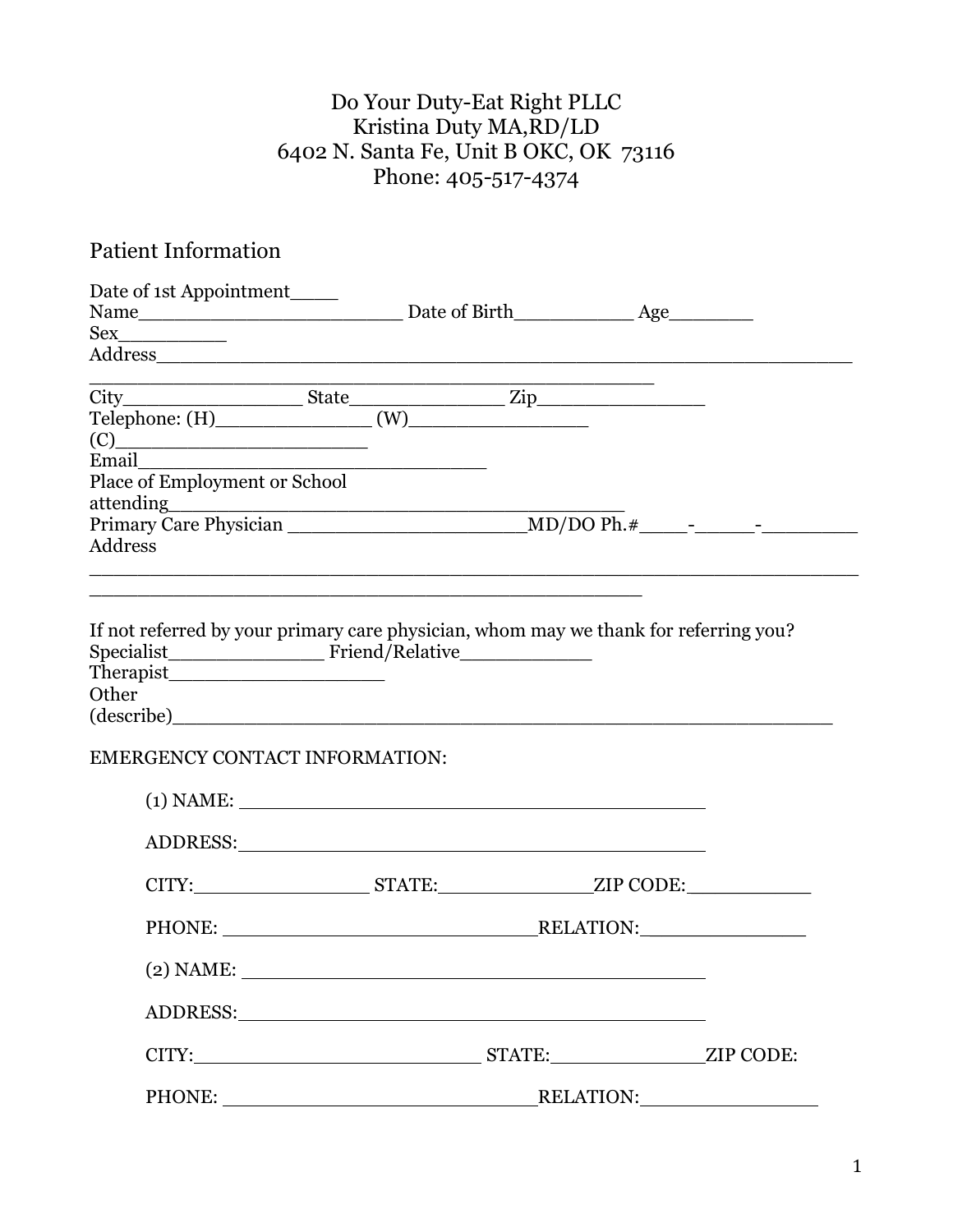# Do Your Duty-Eat Right PLLC Kristina Duty MA,RD/LD 6402 N. Santa Fe, Unit B OKC, OK 73116 Phone: 405-517-4374

# Patient Information

| Date of 1st Appointment                                                                                                                                                                                                                               |  |  |
|-------------------------------------------------------------------------------------------------------------------------------------------------------------------------------------------------------------------------------------------------------|--|--|
| Name Mame Mame Municipality Date of Birth Municipality Age Municipality Age Municipality Age Municipality Age Municipality Age Municipality Age Municipality Age Municipality Age Municipality Age Municipality Age Municipali                        |  |  |
| Sex                                                                                                                                                                                                                                                   |  |  |
|                                                                                                                                                                                                                                                       |  |  |
|                                                                                                                                                                                                                                                       |  |  |
|                                                                                                                                                                                                                                                       |  |  |
| $(C)$ and $(C)$ and $(C)$ and $(C)$ and $(C)$ and $(C)$ and $(C)$ and $(C)$ and $(C)$ and $(C)$ and $(C)$ and $(C)$ and $(C)$ and $(C)$ and $(C)$ and $(C)$ and $(C)$ and $(C)$ and $(C)$ and $(C)$ and $(C)$ and $(C)$ and $(C)$ and $(C)$ and $(C)$ |  |  |
|                                                                                                                                                                                                                                                       |  |  |
|                                                                                                                                                                                                                                                       |  |  |
|                                                                                                                                                                                                                                                       |  |  |
| Address                                                                                                                                                                                                                                               |  |  |
| <u> 1989 - Johann Stoff, amerikansk politik (f. 1989)</u>                                                                                                                                                                                             |  |  |
|                                                                                                                                                                                                                                                       |  |  |
| If not referred by your primary care physician, whom may we thank for referring you?                                                                                                                                                                  |  |  |
|                                                                                                                                                                                                                                                       |  |  |
|                                                                                                                                                                                                                                                       |  |  |
| Other                                                                                                                                                                                                                                                 |  |  |
|                                                                                                                                                                                                                                                       |  |  |
| <b>EMERGENCY CONTACT INFORMATION:</b>                                                                                                                                                                                                                 |  |  |
|                                                                                                                                                                                                                                                       |  |  |
| $(1)$ NAME:                                                                                                                                                                                                                                           |  |  |
|                                                                                                                                                                                                                                                       |  |  |
|                                                                                                                                                                                                                                                       |  |  |
| CITY:________________________STATE:____________________ZIP CODE:________________                                                                                                                                                                      |  |  |
|                                                                                                                                                                                                                                                       |  |  |
|                                                                                                                                                                                                                                                       |  |  |
|                                                                                                                                                                                                                                                       |  |  |
| $(2)$ NAME:                                                                                                                                                                                                                                           |  |  |
|                                                                                                                                                                                                                                                       |  |  |
| ADDRESS: North Contract of the Contract of the Contract of the Contract of the Contract of the Contract of the Contract of the Contract of the Contract of the Contract of the Contract of the Contract of the Contract of the                        |  |  |
|                                                                                                                                                                                                                                                       |  |  |
|                                                                                                                                                                                                                                                       |  |  |
|                                                                                                                                                                                                                                                       |  |  |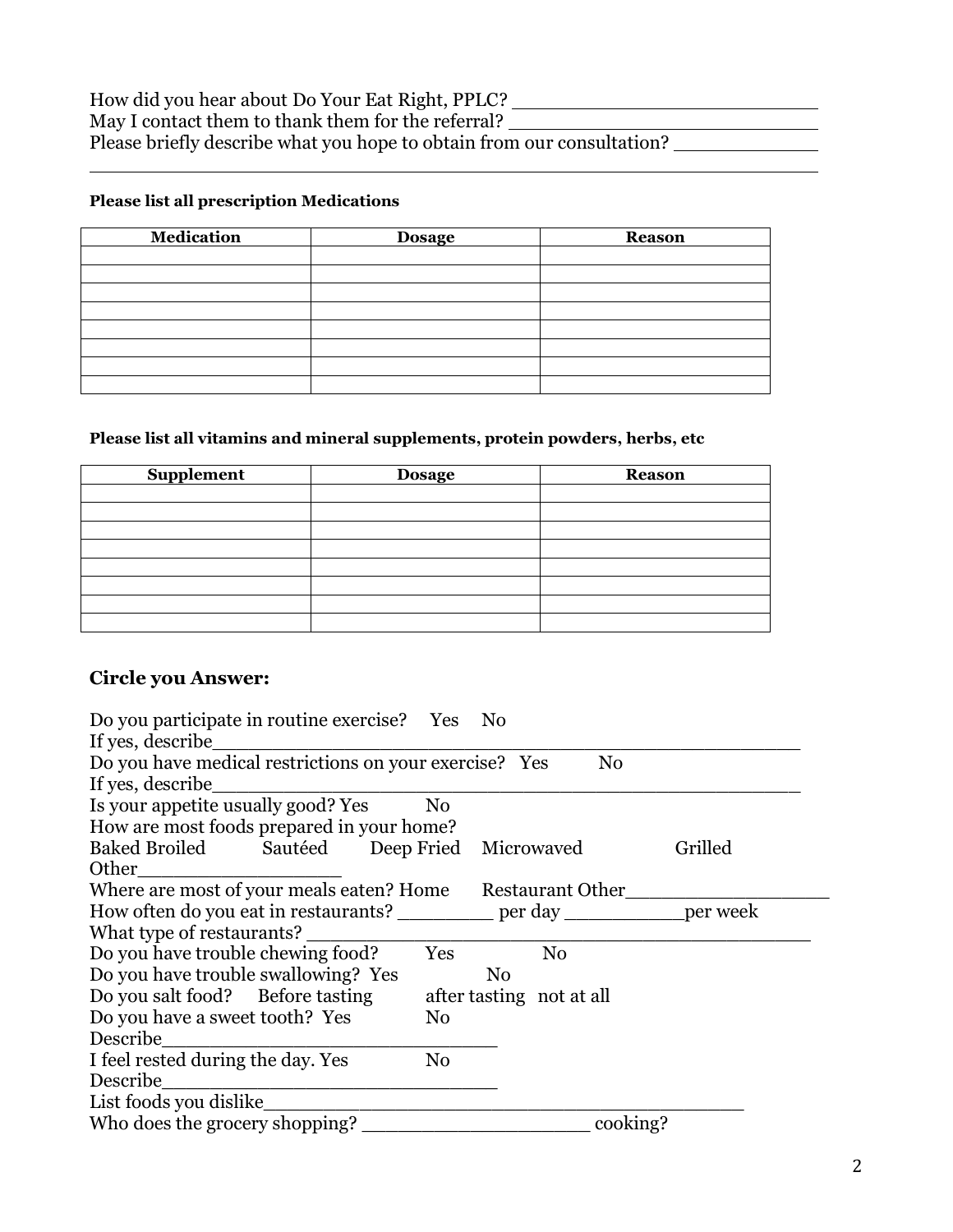#### **Please list all prescription Medications**

| <b>Medication</b> | <b>Dosage</b> | <b>Reason</b> |
|-------------------|---------------|---------------|
|                   |               |               |
|                   |               |               |
|                   |               |               |
|                   |               |               |
|                   |               |               |
|                   |               |               |
|                   |               |               |
|                   |               |               |

#### **Please list all vitamins and mineral supplements, protein powders, herbs, etc**

| Supplement | <b>Dosage</b> | <b>Reason</b> |
|------------|---------------|---------------|
|            |               |               |
|            |               |               |
|            |               |               |
|            |               |               |
|            |               |               |
|            |               |               |
|            |               |               |
|            |               |               |

## **Circle you Answer:**

| Do you participate in routine exercise? Yes                                    |                | - No           |                          |          |  |  |  |
|--------------------------------------------------------------------------------|----------------|----------------|--------------------------|----------|--|--|--|
| If yes, describe                                                               |                |                |                          |          |  |  |  |
| Do you have medical restrictions on your exercise? Yes<br>N <sub>0</sub>       |                |                |                          |          |  |  |  |
| If yes, describe                                                               |                |                |                          |          |  |  |  |
| Is your appetite usually good? Yes                                             | No             |                |                          |          |  |  |  |
| How are most foods prepared in your home?                                      |                |                |                          |          |  |  |  |
| Baked Broiled Sautéed Deep Fried Microwaved                                    |                |                |                          | Grilled  |  |  |  |
| Other                                                                          |                |                |                          |          |  |  |  |
| Where are most of your meals eaten? Home Restaurant Other                      |                |                |                          |          |  |  |  |
| How often do you eat in restaurants? ___________ per day ____________ per week |                |                |                          |          |  |  |  |
| What type of restaurants?                                                      |                |                |                          |          |  |  |  |
| Do you have trouble chewing food?                                              | Yes            |                | N <sub>0</sub>           |          |  |  |  |
| Do you have trouble swallowing? Yes                                            |                | N <sub>0</sub> |                          |          |  |  |  |
| Do you salt food? Before tasting                                               |                |                | after tasting not at all |          |  |  |  |
| Do you have a sweet tooth? Yes                                                 | N <sub>0</sub> |                |                          |          |  |  |  |
| Describe                                                                       |                |                |                          |          |  |  |  |
| I feel rested during the day. Yes                                              | No             |                |                          |          |  |  |  |
| Describe                                                                       |                |                |                          |          |  |  |  |
| List foods you dislike                                                         |                |                |                          |          |  |  |  |
| Who does the grocery shopping?                                                 |                |                |                          | cooking? |  |  |  |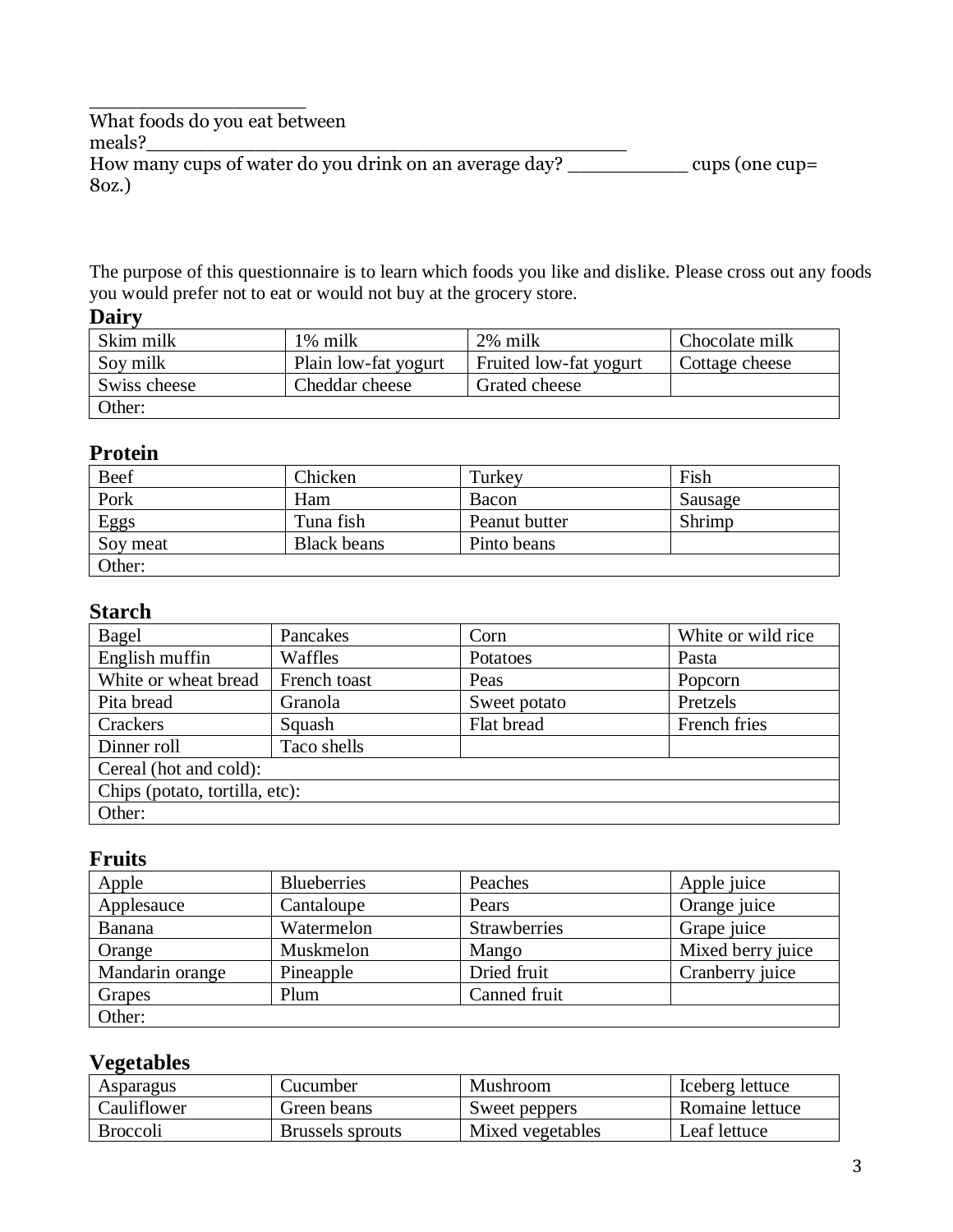\_\_\_\_\_\_\_\_\_\_\_\_\_\_\_\_\_\_ What foods do you eat between meals?\_\_\_\_\_\_\_\_\_\_\_\_\_\_\_\_\_\_\_\_\_\_\_\_\_\_\_\_\_\_\_\_\_\_\_\_\_\_\_\_

How many cups of water do you drink on an average day? \_\_\_\_\_\_\_\_\_\_ cups (one cup= 8oz.)

The purpose of this questionnaire is to learn which foods you like and dislike. Please cross out any foods you would prefer not to eat or would not buy at the grocery store.

#### **Dairy**

| Skim milk    | 1% milk              | 2% milk                | Chocolate milk |
|--------------|----------------------|------------------------|----------------|
| Soy milk     | Plain low-fat yogurt | Fruited low-fat yogurt | Cottage cheese |
| Swiss cheese | Cheddar cheese       | Grated cheese          |                |
| Other:       |                      |                        |                |

# **Protein**

| Beef     | Chicken            | Turkev        | Fish    |
|----------|--------------------|---------------|---------|
| Pork     | Ham                | Bacon         | Sausage |
| Eggs     | Tuna fish          | Peanut butter | Shrimp  |
| Soy meat | <b>Black beans</b> | Pinto beans   |         |
| Other:   |                    |               |         |

## **Starch**

| Bagel                          | Pancakes     | Corn         | White or wild rice |  |  |
|--------------------------------|--------------|--------------|--------------------|--|--|
| English muffin                 | Waffles      | Potatoes     | Pasta              |  |  |
| White or wheat bread           | French toast | Peas         | Popcorn            |  |  |
| Pita bread                     | Granola      | Sweet potato | Pretzels           |  |  |
| Crackers                       | Squash       | Flat bread   | French fries       |  |  |
| Dinner roll                    | Taco shells  |              |                    |  |  |
| Cereal (hot and cold):         |              |              |                    |  |  |
| Chips (potato, tortilla, etc): |              |              |                    |  |  |
| Other:                         |              |              |                    |  |  |

# **Fruits**

| Apple           | <b>Blueberries</b> | Peaches             | Apple juice       |
|-----------------|--------------------|---------------------|-------------------|
| Applesauce      | Cantaloupe         | Pears               | Orange juice      |
| Banana          | Watermelon         | <b>Strawberries</b> | Grape juice       |
| Orange          | Muskmelon          | Mango               | Mixed berry juice |
| Mandarin orange | Pineapple          | Dried fruit         | Cranberry juice   |
| Grapes          | Plum               | Canned fruit        |                   |
| Other:          |                    |                     |                   |

## **Vegetables**

| Asparagus       | Cucumber         | Mushroom         | Iceberg lettuce |
|-----------------|------------------|------------------|-----------------|
| Cauliflower     | Green beans      | Sweet peppers    | Romaine lettuce |
| <b>Broccoli</b> | Brussels sprouts | Mixed vegetables | Leaf lettuce    |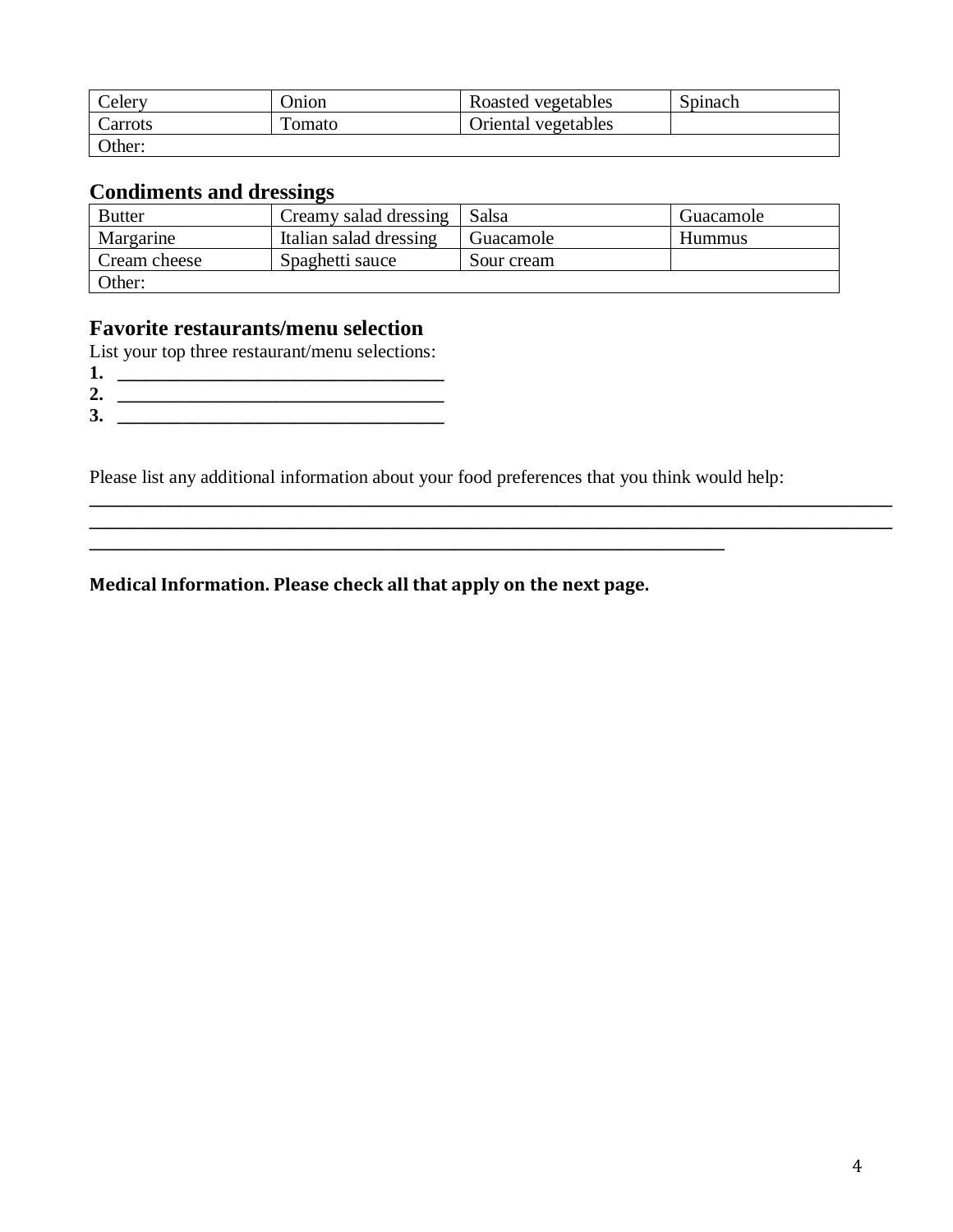| Celery  | <b>Dnion</b> | Roasted vegetables  | Spinach |
|---------|--------------|---------------------|---------|
| Carrots | l'omato      | Oriental vegetables |         |
| Other:  |              |                     |         |

## **Condiments and dressings**

| <b>Butter</b> | Creamy salad dressing  | <b>Salsa</b> | Guacamole     |
|---------------|------------------------|--------------|---------------|
| Margarine     | Italian salad dressing | Guacamole    | <b>Hummus</b> |
| Cream cheese  | Spaghetti sauce        | Sour cream   |               |
| Other:        |                        |              |               |

### **Favorite restaurants/menu selection**

List your top three restaurant/menu selections:

- **1. \_\_\_\_\_\_\_\_\_\_\_\_\_\_\_\_\_\_\_\_\_\_\_\_\_\_\_\_\_\_\_\_\_\_\_**
- **2. \_\_\_\_\_\_\_\_\_\_\_\_\_\_\_\_\_\_\_\_\_\_\_\_\_\_\_\_\_\_\_\_\_\_\_**
- **3. \_\_\_\_\_\_\_\_\_\_\_\_\_\_\_\_\_\_\_\_\_\_\_\_\_\_\_\_\_\_\_\_\_\_\_**

Please list any additional information about your food preferences that you think would help:

**\_\_\_\_\_\_\_\_\_\_\_\_\_\_\_\_\_\_\_\_\_\_\_\_\_\_\_\_\_\_\_\_\_\_\_\_\_\_\_\_\_\_\_\_\_\_\_\_\_\_\_\_\_\_\_\_\_\_\_\_\_\_\_\_\_\_\_\_**

**\_\_\_\_\_\_\_\_\_\_\_\_\_\_\_\_\_\_\_\_\_\_\_\_\_\_\_\_\_\_\_\_\_\_\_\_\_\_\_\_\_\_\_\_\_\_\_\_\_\_\_\_\_\_\_\_\_\_\_\_\_\_\_\_\_\_\_\_\_\_\_\_\_\_\_\_\_\_\_\_\_\_\_\_\_\_ \_\_\_\_\_\_\_\_\_\_\_\_\_\_\_\_\_\_\_\_\_\_\_\_\_\_\_\_\_\_\_\_\_\_\_\_\_\_\_\_\_\_\_\_\_\_\_\_\_\_\_\_\_\_\_\_\_\_\_\_\_\_\_\_\_\_\_\_\_\_\_\_\_\_\_\_\_\_\_\_\_\_\_\_\_\_**

**Medical Information. Please check all that apply on the next page.**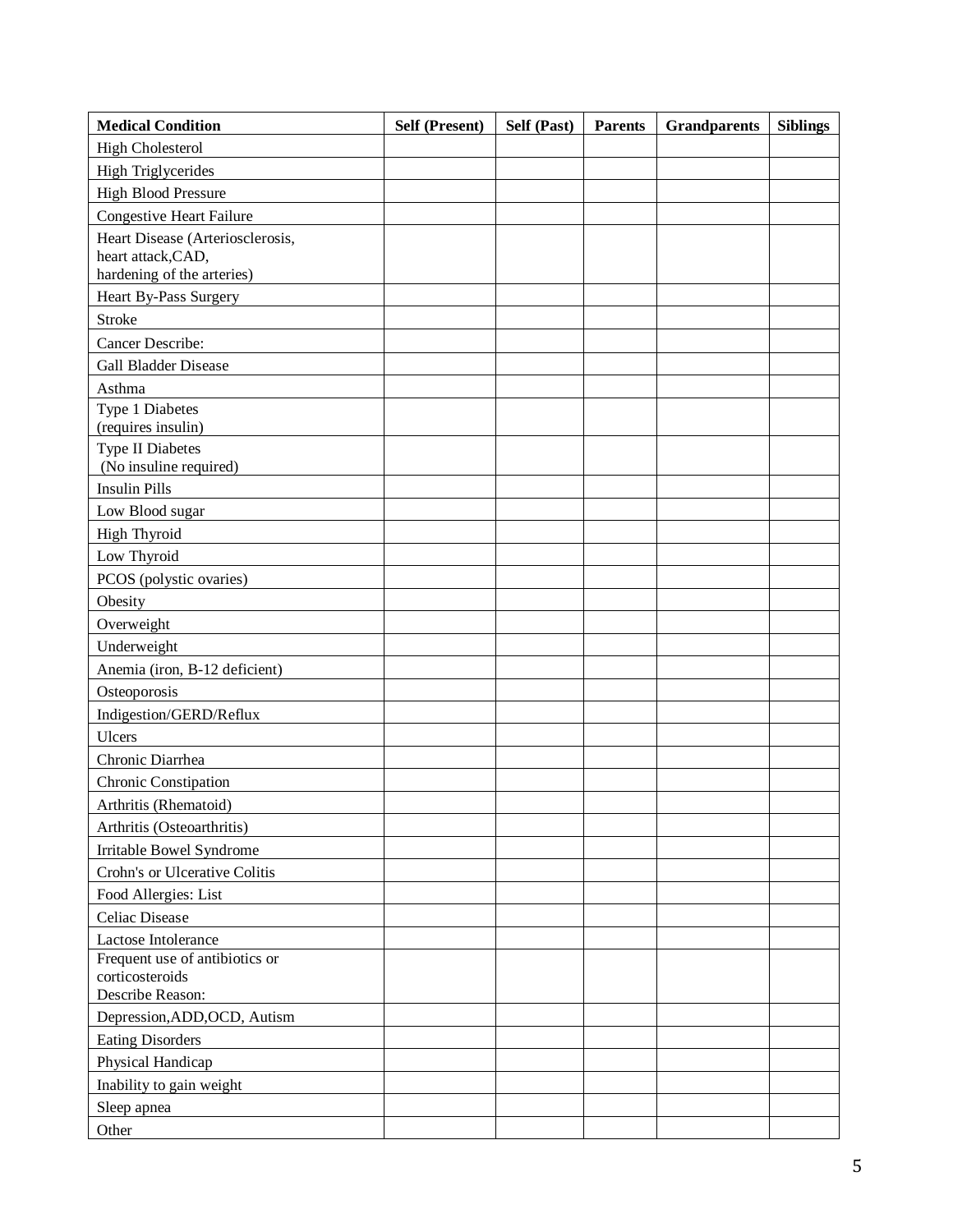| <b>Medical Condition</b>                                  | <b>Self (Present)</b> | Self (Past) | <b>Parents</b> | <b>Grandparents</b> | <b>Siblings</b> |
|-----------------------------------------------------------|-----------------------|-------------|----------------|---------------------|-----------------|
| <b>High Cholesterol</b>                                   |                       |             |                |                     |                 |
| <b>High Triglycerides</b>                                 |                       |             |                |                     |                 |
| <b>High Blood Pressure</b>                                |                       |             |                |                     |                 |
| <b>Congestive Heart Failure</b>                           |                       |             |                |                     |                 |
| Heart Disease (Arteriosclerosis,                          |                       |             |                |                     |                 |
| heart attack, CAD,                                        |                       |             |                |                     |                 |
| hardening of the arteries)                                |                       |             |                |                     |                 |
| Heart By-Pass Surgery                                     |                       |             |                |                     |                 |
| <b>Stroke</b>                                             |                       |             |                |                     |                 |
| Cancer Describe:                                          |                       |             |                |                     |                 |
| <b>Gall Bladder Disease</b>                               |                       |             |                |                     |                 |
| Asthma                                                    |                       |             |                |                     |                 |
| Type 1 Diabetes                                           |                       |             |                |                     |                 |
| (requires insulin)                                        |                       |             |                |                     |                 |
| <b>Type II Diabetes</b><br>(No insuline required)         |                       |             |                |                     |                 |
| <b>Insulin Pills</b>                                      |                       |             |                |                     |                 |
| Low Blood sugar                                           |                       |             |                |                     |                 |
| <b>High Thyroid</b>                                       |                       |             |                |                     |                 |
| Low Thyroid                                               |                       |             |                |                     |                 |
| PCOS (polystic ovaries)                                   |                       |             |                |                     |                 |
| Obesity                                                   |                       |             |                |                     |                 |
| Overweight                                                |                       |             |                |                     |                 |
| Underweight                                               |                       |             |                |                     |                 |
| Anemia (iron, B-12 deficient)                             |                       |             |                |                     |                 |
| Osteoporosis                                              |                       |             |                |                     |                 |
| Indigestion/GERD/Reflux                                   |                       |             |                |                     |                 |
| Ulcers                                                    |                       |             |                |                     |                 |
| Chronic Diarrhea                                          |                       |             |                |                     |                 |
| Chronic Constipation                                      |                       |             |                |                     |                 |
| Arthritis (Rhematoid)                                     |                       |             |                |                     |                 |
| Arthritis (Osteoarthritis)                                |                       |             |                |                     |                 |
|                                                           |                       |             |                |                     |                 |
| Irritable Bowel Syndrome<br>Crohn's or Ulcerative Colitis |                       |             |                |                     |                 |
|                                                           |                       |             |                |                     |                 |
| Food Allergies: List<br><b>Celiac Disease</b>             |                       |             |                |                     |                 |
|                                                           |                       |             |                |                     |                 |
| Lactose Intolerance<br>Frequent use of antibiotics or     |                       |             |                |                     |                 |
| corticosteroids                                           |                       |             |                |                     |                 |
| Describe Reason:                                          |                       |             |                |                     |                 |
| Depression, ADD, OCD, Autism                              |                       |             |                |                     |                 |
| <b>Eating Disorders</b>                                   |                       |             |                |                     |                 |
| Physical Handicap                                         |                       |             |                |                     |                 |
| Inability to gain weight                                  |                       |             |                |                     |                 |
| Sleep apnea                                               |                       |             |                |                     |                 |
| Other                                                     |                       |             |                |                     |                 |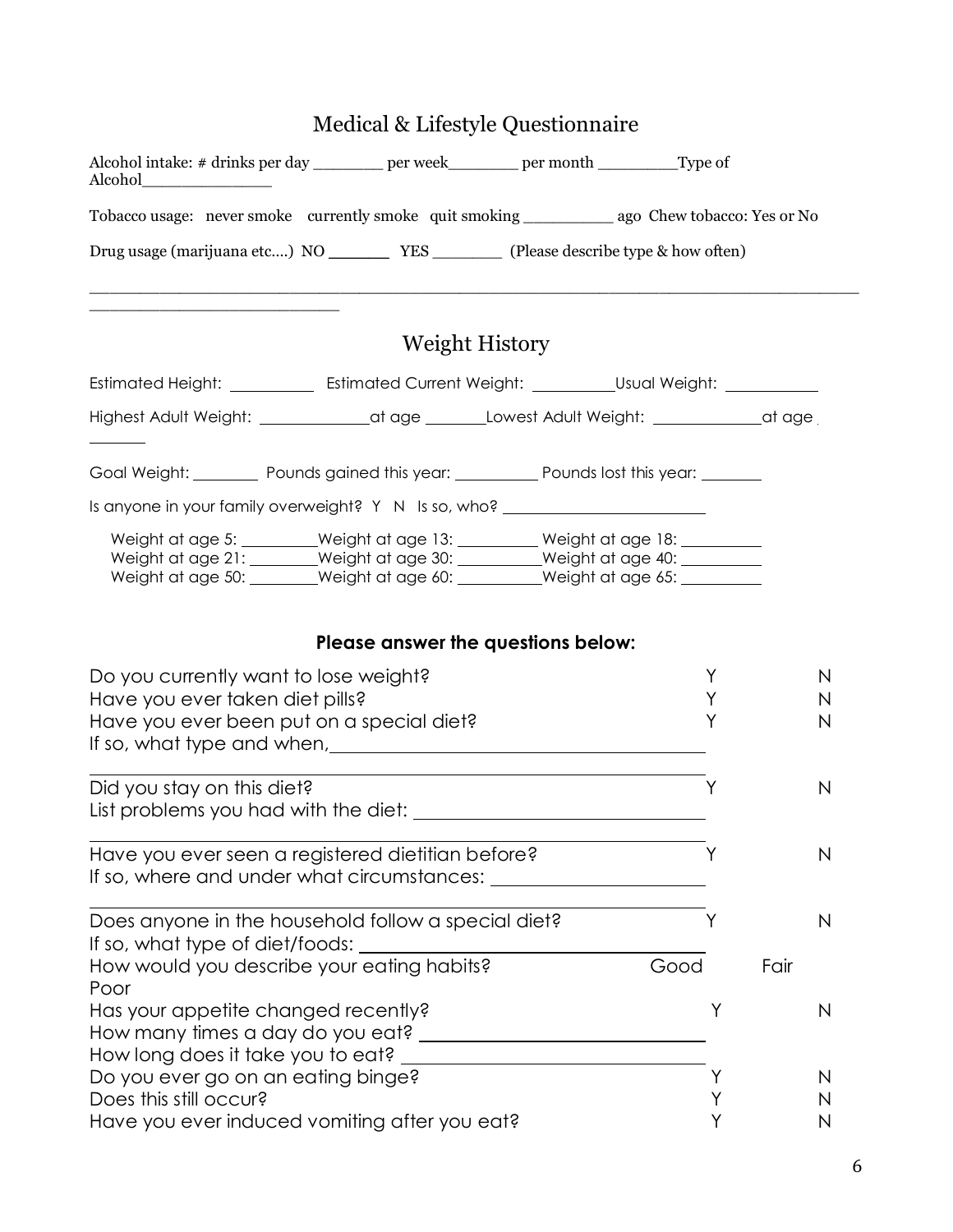|                                                                                                                                                                                                                                                                             |                       | Medical & Lifestyle Questionnaire                     |      |              |
|-----------------------------------------------------------------------------------------------------------------------------------------------------------------------------------------------------------------------------------------------------------------------------|-----------------------|-------------------------------------------------------|------|--------------|
| Alcohol intake: # drinks per day ________ per week_______ per month ________Type of<br>Alcohol                                                                                                                                                                              |                       |                                                       |      |              |
|                                                                                                                                                                                                                                                                             |                       |                                                       |      |              |
| Drug usage (marijuana etc) NO ___________ YES __________ (Please describe type & how often)                                                                                                                                                                                 |                       |                                                       |      |              |
| the control of the control of the control of the control of the control of the control of                                                                                                                                                                                   | <b>Weight History</b> |                                                       |      |              |
| Estimated Height: _____________ Estimated Current Weight: ___________Usual Weight: ______________                                                                                                                                                                           |                       |                                                       |      |              |
| Highest Adult Weight: ______________at age _______Lowest Adult Weight: ____________at age                                                                                                                                                                                   |                       |                                                       |      |              |
| Goal Weight: Communist Gounds gained this year: Council Pounds lost this year:                                                                                                                                                                                              |                       |                                                       |      |              |
| Is anyone in your family overweight? Y N Is so, who? ___________________________                                                                                                                                                                                            |                       |                                                       |      |              |
| Weight at age 5: ________Weight at age 13: ________ Weight at age 18: ________<br>Weight at age 21: _______Weight at age 30: _________Weight at age 40: _________<br>Weight at age 50: _______Weight at age 60: _________Weight at age 65: _________                        |                       |                                                       |      |              |
|                                                                                                                                                                                                                                                                             |                       | Please answer the questions below:                    |      |              |
| Do you currently want to lose weight?                                                                                                                                                                                                                                       |                       |                                                       | Y    | N            |
| Have you ever taken diet pills?                                                                                                                                                                                                                                             |                       |                                                       | Υ    | N            |
| Have you ever been put on a special diet?<br>If so, what type and when, the same state of the state of the state of the state of the state of the state of the state of the state of the state of the state of the state of the state of the state of the state of the stat |                       |                                                       | Y    | $\mathsf{N}$ |
| Did you stay on this diet?                                                                                                                                                                                                                                                  |                       |                                                       | Y    | N            |
| List problems you had with the diet:                                                                                                                                                                                                                                        |                       |                                                       |      |              |
| Have you ever seen a registered dietitian before?<br>If so, where and under what circumstances: where and under what circumstances:                                                                                                                                         |                       |                                                       |      | N            |
| Does anyone in the household follow a special diet?<br>If so, what type of diet/foods:                                                                                                                                                                                      |                       |                                                       | Y    | $\mathsf{N}$ |
| How would you describe your eating habits?<br>Poor                                                                                                                                                                                                                          |                       |                                                       | Good | Fair         |
| Has your appetite changed recently?<br>How long does it take you to eat?                                                                                                                                                                                                    |                       | <u> 1980 - Andrea Stadt Britain, fransk politik (</u> | Υ    | N            |
| Do you ever go on an eating binge?                                                                                                                                                                                                                                          |                       |                                                       | Υ    | N            |
| Does this still occur?                                                                                                                                                                                                                                                      |                       |                                                       |      | N            |
| Have you ever induced vomiting after you eat?                                                                                                                                                                                                                               |                       |                                                       |      | N            |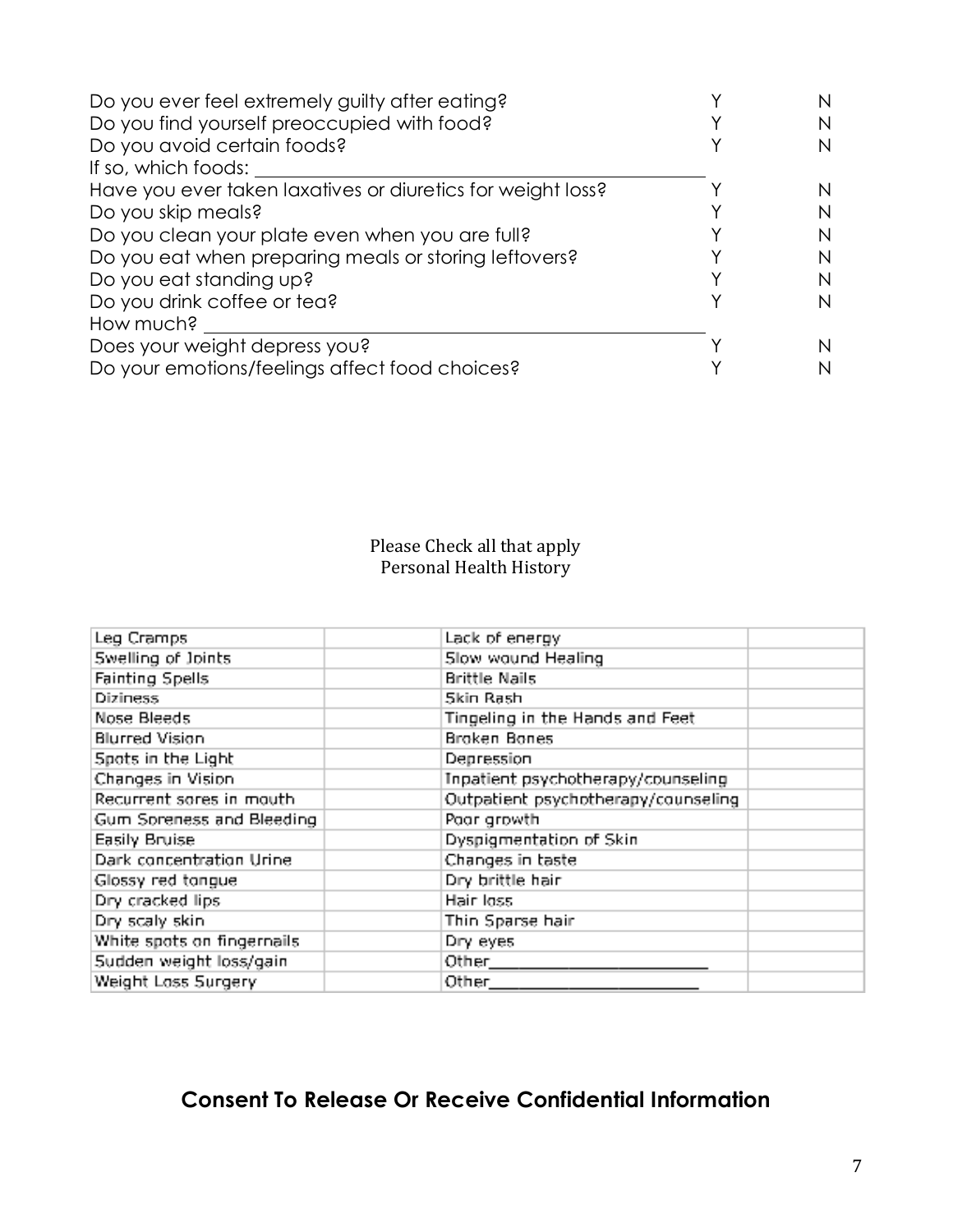| Do you ever feel extremely guilty after eating?             |   |
|-------------------------------------------------------------|---|
| Do you find yourself preoccupied with food?                 | N |
| Do you avoid certain foods?                                 | N |
| If so, which foods:                                         |   |
| Have you ever taken laxatives or diuretics for weight loss? |   |
| Do you skip meals?                                          |   |
| Do you clean your plate even when you are full?             | N |
| Do you eat when preparing meals or storing leftovers?       | N |
| Do you eat standing up?                                     | N |
| Do you drink coffee or tea?                                 | N |
| How much?                                                   |   |
| Does your weight depress you?                               |   |
| Do your emotions/feelings affect food choices?              |   |
|                                                             |   |

Please Check all that apply Personal Health History

| Leg Cramps                  | Lack of energy                      |
|-----------------------------|-------------------------------------|
| Swelling of Joints          | Slow wound Healing                  |
| Fainting Spells             | Brittle Nails                       |
| Diziness                    | Skin Rash                           |
| Nose Bleeds                 | Tingeling in the Hands and Feet     |
| Blurred Vision.             | Broken Bones                        |
| Spots in the Light          | Depression                          |
| Changes in Vision.          | Inpatient psychotherapy/counseling  |
| Recurrent sores in mouth    | Outpatient psychotherapy/counseling |
| Gum Soreness and Bleeding   | Poor growth                         |
| Easily Bruise               | Dyspigmentation of Skin             |
| Dark concentration Urine    | Changes in taste                    |
| Glossy red tangue           | Dry brittle hair                    |
| Dry cracked lips            | Hair loss                           |
| Dry scaly skin              | Thin Sparse hair.                   |
| White spots on fingernails. | Dry eyes                            |
| Sudden weight loss/gain     | Other____                           |
| Weight Loss Surgery.        | Other__                             |

# **Consent To Release Or Receive Confidential Information**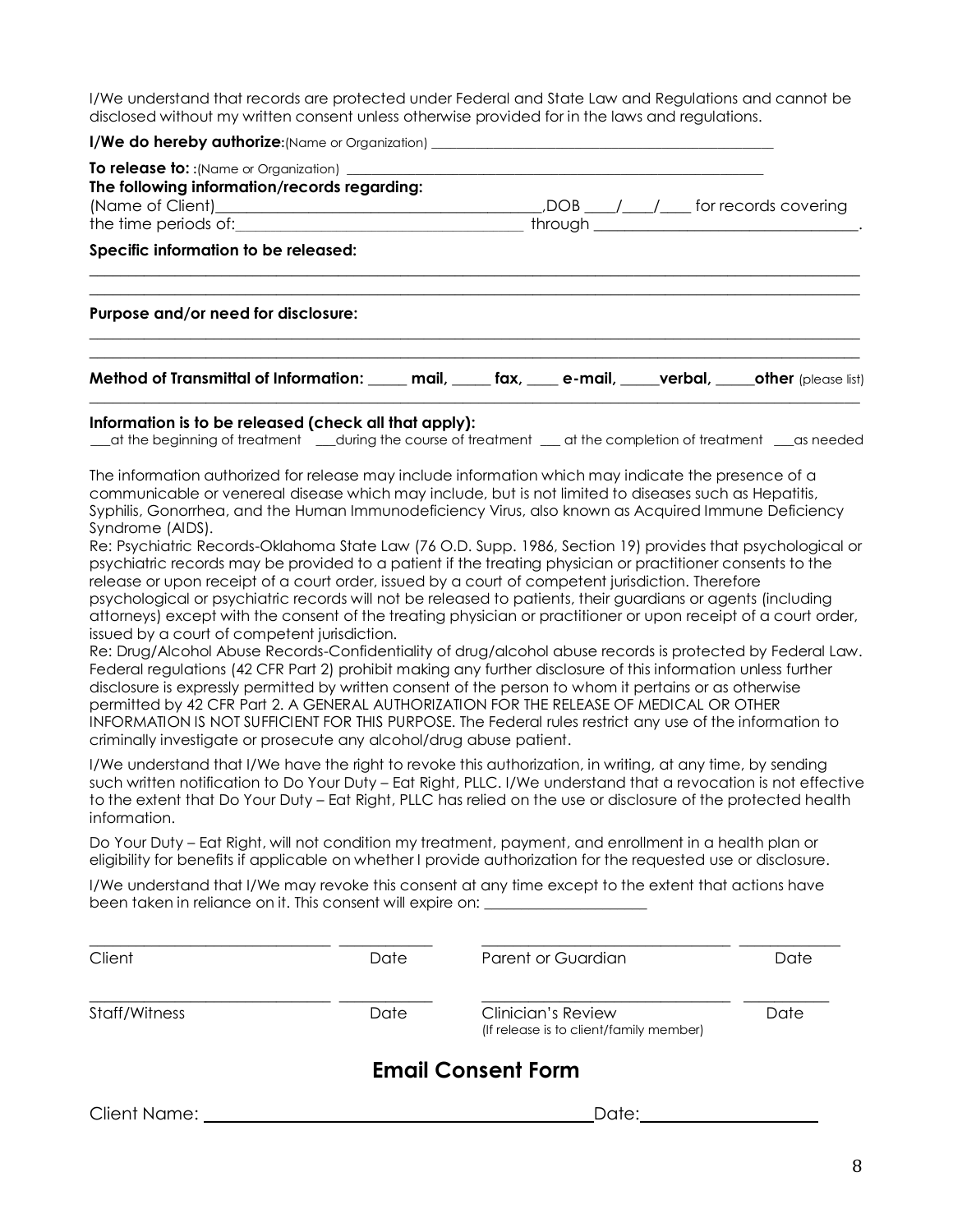I/We understand that records are protected under Federal and State Law and Regulations and cannot be disclosed without my written consent unless otherwise provided for in the laws and regulations.

| <b>I/We do hereby authorize:</b> (Name or Organization) ________________________________                                                                                                                                                                                                                                                                                                                                                                                                                                                                                                                                                                                                                                                                                                                                                                                                                                                                                                                                                                                                                                                                                                                                                                                                                                                                                                                                                                                                                                                                                                                                                                                                                                                                                                                                                                                                                                                         |      |                                                               |      |
|--------------------------------------------------------------------------------------------------------------------------------------------------------------------------------------------------------------------------------------------------------------------------------------------------------------------------------------------------------------------------------------------------------------------------------------------------------------------------------------------------------------------------------------------------------------------------------------------------------------------------------------------------------------------------------------------------------------------------------------------------------------------------------------------------------------------------------------------------------------------------------------------------------------------------------------------------------------------------------------------------------------------------------------------------------------------------------------------------------------------------------------------------------------------------------------------------------------------------------------------------------------------------------------------------------------------------------------------------------------------------------------------------------------------------------------------------------------------------------------------------------------------------------------------------------------------------------------------------------------------------------------------------------------------------------------------------------------------------------------------------------------------------------------------------------------------------------------------------------------------------------------------------------------------------------------------------|------|---------------------------------------------------------------|------|
| The following information/records regarding:                                                                                                                                                                                                                                                                                                                                                                                                                                                                                                                                                                                                                                                                                                                                                                                                                                                                                                                                                                                                                                                                                                                                                                                                                                                                                                                                                                                                                                                                                                                                                                                                                                                                                                                                                                                                                                                                                                     |      |                                                               |      |
|                                                                                                                                                                                                                                                                                                                                                                                                                                                                                                                                                                                                                                                                                                                                                                                                                                                                                                                                                                                                                                                                                                                                                                                                                                                                                                                                                                                                                                                                                                                                                                                                                                                                                                                                                                                                                                                                                                                                                  |      |                                                               |      |
| Specific information to be released:                                                                                                                                                                                                                                                                                                                                                                                                                                                                                                                                                                                                                                                                                                                                                                                                                                                                                                                                                                                                                                                                                                                                                                                                                                                                                                                                                                                                                                                                                                                                                                                                                                                                                                                                                                                                                                                                                                             |      |                                                               |      |
| Purpose and/or need for disclosure:                                                                                                                                                                                                                                                                                                                                                                                                                                                                                                                                                                                                                                                                                                                                                                                                                                                                                                                                                                                                                                                                                                                                                                                                                                                                                                                                                                                                                                                                                                                                                                                                                                                                                                                                                                                                                                                                                                              |      |                                                               |      |
| Method of Transmittal of Information: _____ mail, _____ fax, ____ e-mail, _____verbal, _____other (please list)                                                                                                                                                                                                                                                                                                                                                                                                                                                                                                                                                                                                                                                                                                                                                                                                                                                                                                                                                                                                                                                                                                                                                                                                                                                                                                                                                                                                                                                                                                                                                                                                                                                                                                                                                                                                                                  |      |                                                               |      |
| Information is to be released (check all that apply):<br>at the beginning of treatment __during the course of treatment __ at the completion of treatment __ as needed                                                                                                                                                                                                                                                                                                                                                                                                                                                                                                                                                                                                                                                                                                                                                                                                                                                                                                                                                                                                                                                                                                                                                                                                                                                                                                                                                                                                                                                                                                                                                                                                                                                                                                                                                                           |      |                                                               |      |
| The information authorized for release may include information which may indicate the presence of a<br>communicable or venereal disease which may include, but is not limited to diseases such as Hepatitis,<br>Syphilis, Gonorrhea, and the Human Immunodeficiency Virus, also known as Acquired Immune Deficiency<br>Syndrome (AIDS).<br>Re: Psychiatric Records-Oklahoma State Law (76 O.D. Supp. 1986, Section 19) provides that psychological or<br>psychiatric records may be provided to a patient if the treating physician or practitioner consents to the<br>release or upon receipt of a court order, issued by a court of competent jurisdiction. Therefore<br>psychological or psychiatric records will not be released to patients, their guardians or agents (including<br>attorneys) except with the consent of the treating physician or practitioner or upon receipt of a court order,<br>issued by a court of competent jurisdiction.<br>Re: Drug/Alcohol Abuse Records-Confidentiality of drug/alcohol abuse records is protected by Federal Law.<br>Federal regulations (42 CFR Part 2) prohibit making any further disclosure of this information unless further<br>disclosure is expressly permitted by written consent of the person to whom it pertains or as otherwise<br>permitted by 42 CFR Part 2. A GENERAL AUTHORIZATION FOR THE RELEASE OF MEDICAL OR OTHER<br>INFORMATION IS NOT SUFFICIENT FOR THIS PURPOSE. The Federal rules restrict any use of the information to<br>criminally investigate or prosecute any alcohol/drug abuse patient.<br>I/We understand that I/We have the right to revoke this authorization, in writing, at any time, by sending<br>such written notification to Do Your Duty - Eat Right, PLLC. I/We understand that a revocation is not effective<br>to the extent that Do Your Duty - Eat Right, PLLC has relied on the use or disclosure of the protected health<br>information. |      |                                                               |      |
| Do Your Duty – Eat Right, will not condition my treatment, payment, and enrollment in a health plan or<br>eligibility for benefits if applicable on whether I provide authorization for the requested use or disclosure.                                                                                                                                                                                                                                                                                                                                                                                                                                                                                                                                                                                                                                                                                                                                                                                                                                                                                                                                                                                                                                                                                                                                                                                                                                                                                                                                                                                                                                                                                                                                                                                                                                                                                                                         |      |                                                               |      |
| I/We understand that I/We may revoke this consent at any time except to the extent that actions have<br>been taken in reliance on it. This consent will expire on:                                                                                                                                                                                                                                                                                                                                                                                                                                                                                                                                                                                                                                                                                                                                                                                                                                                                                                                                                                                                                                                                                                                                                                                                                                                                                                                                                                                                                                                                                                                                                                                                                                                                                                                                                                               |      |                                                               |      |
| Client                                                                                                                                                                                                                                                                                                                                                                                                                                                                                                                                                                                                                                                                                                                                                                                                                                                                                                                                                                                                                                                                                                                                                                                                                                                                                                                                                                                                                                                                                                                                                                                                                                                                                                                                                                                                                                                                                                                                           | Date | Parent or Guardian                                            | Date |
| Staff/Witness                                                                                                                                                                                                                                                                                                                                                                                                                                                                                                                                                                                                                                                                                                                                                                                                                                                                                                                                                                                                                                                                                                                                                                                                                                                                                                                                                                                                                                                                                                                                                                                                                                                                                                                                                                                                                                                                                                                                    | Date | Clinician's Review<br>(If release is to client/family member) | Date |
|                                                                                                                                                                                                                                                                                                                                                                                                                                                                                                                                                                                                                                                                                                                                                                                                                                                                                                                                                                                                                                                                                                                                                                                                                                                                                                                                                                                                                                                                                                                                                                                                                                                                                                                                                                                                                                                                                                                                                  |      | <b>Email Consent Form</b>                                     |      |
| <b>Client Name:</b>                                                                                                                                                                                                                                                                                                                                                                                                                                                                                                                                                                                                                                                                                                                                                                                                                                                                                                                                                                                                                                                                                                                                                                                                                                                                                                                                                                                                                                                                                                                                                                                                                                                                                                                                                                                                                                                                                                                              |      | Date:                                                         |      |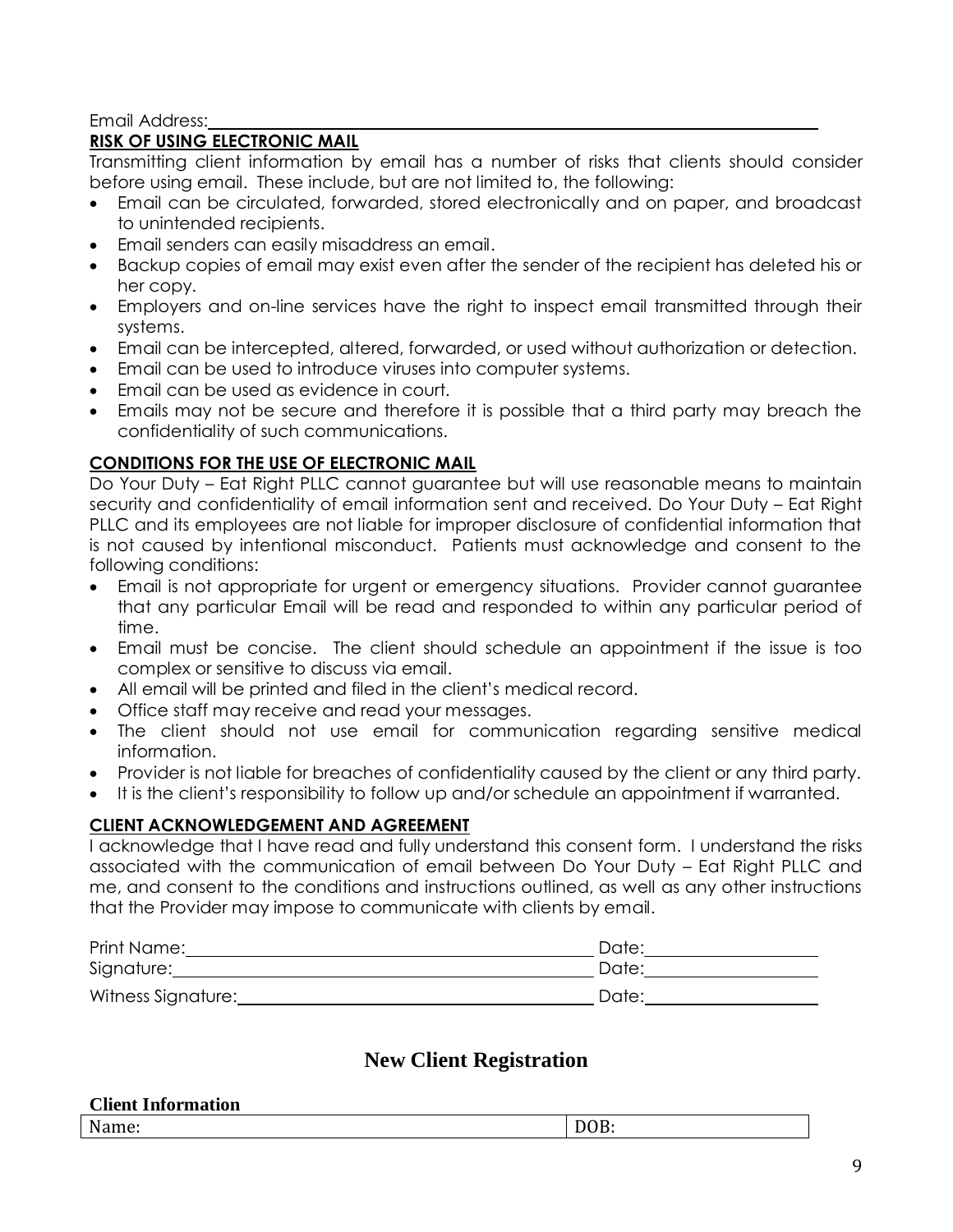#### Email Address:

#### **RISK OF USING ELECTRONIC MAIL**

Transmitting client information by email has a number of risks that clients should consider before using email. These include, but are not limited to, the following:

- Email can be circulated, forwarded, stored electronically and on paper, and broadcast to unintended recipients.
- Email senders can easily misaddress an email.
- Backup copies of email may exist even after the sender of the recipient has deleted his or her copy.
- Employers and on-line services have the right to inspect email transmitted through their systems.
- Email can be intercepted, altered, forwarded, or used without authorization or detection.
- Email can be used to introduce viruses into computer systems.
- Email can be used as evidence in court.
- Emails may not be secure and therefore it is possible that a third party may breach the confidentiality of such communications.

#### **CONDITIONS FOR THE USE OF ELECTRONIC MAIL**

Do Your Duty – Eat Right PLLC cannot guarantee but will use reasonable means to maintain security and confidentiality of email information sent and received. Do Your Duty – Eat Right PLLC and its employees are not liable for improper disclosure of confidential information that is not caused by intentional misconduct. Patients must acknowledge and consent to the following conditions:

- Email is not appropriate for urgent or emergency situations. Provider cannot guarantee that any particular Email will be read and responded to within any particular period of time.
- Email must be concise. The client should schedule an appointment if the issue is too complex or sensitive to discuss via email.
- All email will be printed and filed in the client's medical record.
- Office staff may receive and read your messages.
- The client should not use email for communication regarding sensitive medical information.
- Provider is not liable for breaches of confidentiality caused by the client or any third party.
- It is the client's responsibility to follow up and/or schedule an appointment if warranted.

#### **CLIENT ACKNOWLEDGEMENT AND AGREEMENT**

I acknowledge that I have read and fully understand this consent form. I understand the risks associated with the communication of email between Do Your Duty – Eat Right PLLC and me, and consent to the conditions and instructions outlined, as well as any other instructions that the Provider may impose to communicate with clients by email.

| Print Name:        | Date: |
|--------------------|-------|
| Signature:         | Date: |
| Witness Signature: | Date: |
|                    |       |

## **New Client Registration**

| <b>Client Information</b> |             |
|---------------------------|-------------|
| Name:                     | <u>vw</u> . |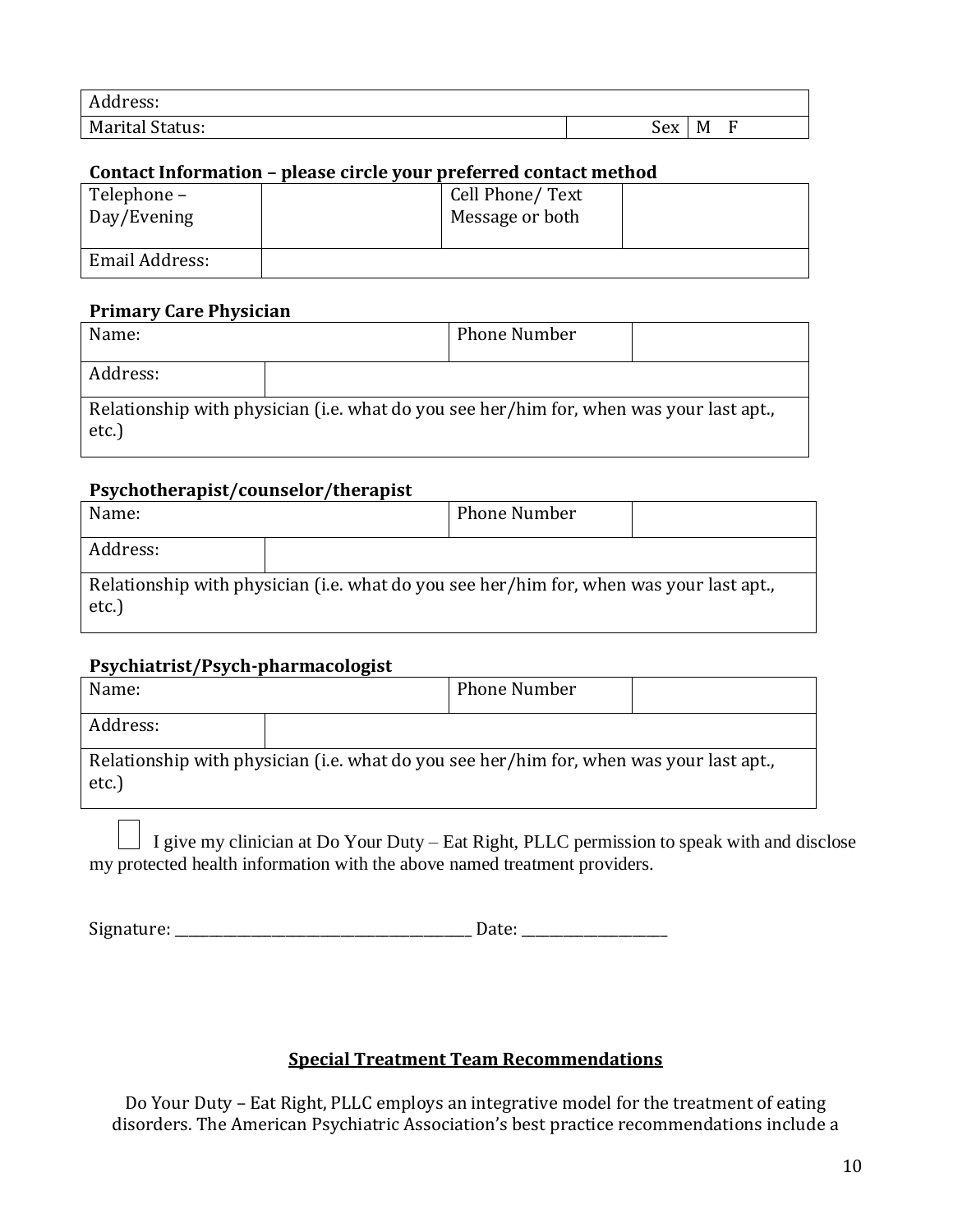| Address:                        |     |        |  |
|---------------------------------|-----|--------|--|
| <sup>1</sup> Status:<br>Marital | Sex | −<br>M |  |

#### **Contact Information – please circle your preferred contact method**

| Telephone -<br>Day/Evening | Cell Phone/ Text<br>Message or both |  |
|----------------------------|-------------------------------------|--|
| Email Address:             |                                     |  |

## **Primary Care Physician**

| Name:    |                                                                                         | <b>Phone Number</b> |  |
|----------|-----------------------------------------------------------------------------------------|---------------------|--|
| Address: |                                                                                         |                     |  |
| etc.)    | Relationship with physician (i.e. what do you see her/him for, when was your last apt., |                     |  |

#### **Psychotherapist/counselor/therapist**

| Name:    |                                                                                         | <b>Phone Number</b> |  |
|----------|-----------------------------------------------------------------------------------------|---------------------|--|
| Address: |                                                                                         |                     |  |
| etc.)    | Relationship with physician (i.e. what do you see her/him for, when was your last apt., |                     |  |

#### **Psychiatrist/Psych-pharmacologist**

| Name:    |                                                                                         | <b>Phone Number</b> |  |
|----------|-----------------------------------------------------------------------------------------|---------------------|--|
| Address: |                                                                                         |                     |  |
| $etc.$ ) | Relationship with physician (i.e. what do you see her/him for, when was your last apt., |                     |  |

I give my clinician at Do Your Duty – Eat Right, PLLC permission to speak with and disclose my protected health information with the above named treatment providers.

Signature: \_\_\_\_\_\_\_\_\_\_\_\_\_\_\_\_\_\_\_\_\_\_\_\_\_\_\_\_\_\_\_\_\_\_\_\_\_\_\_\_\_\_\_ Date: \_\_\_\_\_\_\_\_\_\_\_\_\_\_\_\_\_\_\_\_\_

## **Special Treatment Team Recommendations**

Do Your Duty – Eat Right, PLLC employs an integrative model for the treatment of eating disorders. The American Psychiatric Association's best practice recommendations include a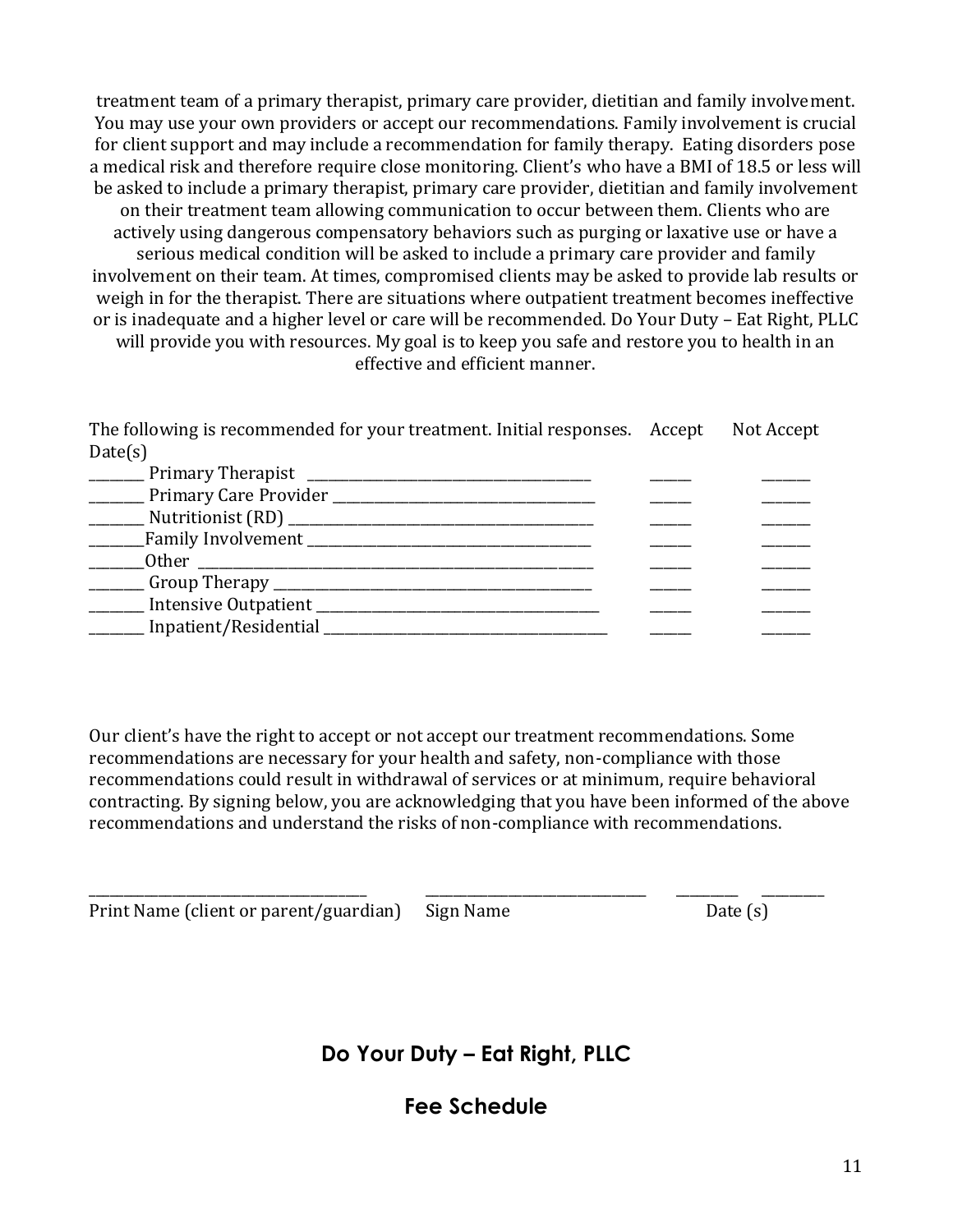treatment team of a primary therapist, primary care provider, dietitian and family involvement. You may use your own providers or accept our recommendations. Family involvement is crucial for client support and may include a recommendation for family therapy. Eating disorders pose a medical risk and therefore require close monitoring. Client's who have a BMI of 18.5 or less will be asked to include a primary therapist, primary care provider, dietitian and family involvement on their treatment team allowing communication to occur between them. Clients who are actively using dangerous compensatory behaviors such as purging or laxative use or have a serious medical condition will be asked to include a primary care provider and family involvement on their team. At times, compromised clients may be asked to provide lab results or weigh in for the therapist. There are situations where outpatient treatment becomes ineffective or is inadequate and a higher level or care will be recommended. Do Your Duty – Eat Right, PLLC will provide you with resources. My goal is to keep you safe and restore you to health in an effective and efficient manner.

The following is recommended for your treatment. Initial responses. Accept Not Accept Date(s)

| Primary Therapist                           |  |
|---------------------------------------------|--|
|                                             |  |
| Nutritionist (RD) ______________            |  |
| _Family Involvement ___________             |  |
| Other                                       |  |
| __ Group Therapy __________________________ |  |
| Intensive Outpatient                        |  |
| Inpatient/Residential                       |  |
|                                             |  |

Our client's have the right to accept or not accept our treatment recommendations. Some recommendations are necessary for your health and safety, non-compliance with those recommendations could result in withdrawal of services or at minimum, require behavioral contracting. By signing below, you are acknowledging that you have been informed of the above recommendations and understand the risks of non-compliance with recommendations.

\_\_\_\_\_\_\_\_\_\_\_\_\_\_\_\_\_\_\_\_\_\_\_\_\_\_\_\_\_\_\_\_\_\_\_\_\_\_\_\_ \_\_\_\_\_\_\_\_\_\_\_\_\_\_\_\_\_\_\_\_\_\_\_\_\_\_\_\_\_\_\_\_ \_\_\_\_\_\_\_\_\_ \_\_\_\_\_\_\_\_\_

|  |  | Print Name (client or parent/guardian) Sign Name | Date $(s)$ |  |
|--|--|--------------------------------------------------|------------|--|
|  |  |                                                  |            |  |

**Do Your Duty – Eat Right, PLLC**

**Fee Schedule**